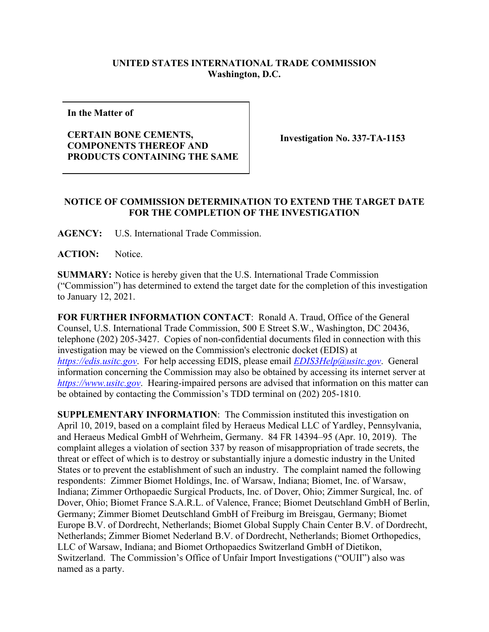## **UNITED STATES INTERNATIONAL TRADE COMMISSION Washington, D.C.**

**In the Matter of**

## **CERTAIN BONE CEMENTS, COMPONENTS THEREOF AND PRODUCTS CONTAINING THE SAME**

**Investigation No. 337-TA-1153**

## **NOTICE OF COMMISSION DETERMINATION TO EXTEND THE TARGET DATE FOR THE COMPLETION OF THE INVESTIGATION**

**AGENCY:** U.S. International Trade Commission.

ACTION: Notice.

**SUMMARY:** Notice is hereby given that the U.S. International Trade Commission ("Commission") has determined to extend the target date for the completion of this investigation to January 12, 2021.

**FOR FURTHER INFORMATION CONTACT**: Ronald A. Traud, Office of the General Counsel, U.S. International Trade Commission, 500 E Street S.W., Washington, DC 20436, telephone (202) 205-3427. Copies of non-confidential documents filed in connection with this investigation may be viewed on the Commission's electronic docket (EDIS) at *[https://edis.usitc.gov](https://edis.usitc.gov/)*. For help accessing EDIS, please email *EDIS3Help@usitc.gov*. General information concerning the Commission may also be obtained by accessing its internet server at *[https://www.usitc.gov](https://www.usitc.gov/)*. Hearing-impaired persons are advised that information on this matter can be obtained by contacting the Commission's TDD terminal on (202) 205-1810.

**SUPPLEMENTARY INFORMATION**: The Commission instituted this investigation on April 10, 2019, based on a complaint filed by Heraeus Medical LLC of Yardley, Pennsylvania, and Heraeus Medical GmbH of Wehrheim, Germany. 84 FR 14394–95 (Apr. 10, 2019). The complaint alleges a violation of section 337 by reason of misappropriation of trade secrets, the threat or effect of which is to destroy or substantially injure a domestic industry in the United States or to prevent the establishment of such an industry. The complaint named the following respondents: Zimmer Biomet Holdings, Inc. of Warsaw, Indiana; Biomet, Inc. of Warsaw, Indiana; Zimmer Orthopaedic Surgical Products, Inc. of Dover, Ohio; Zimmer Surgical, Inc. of Dover, Ohio; Biomet France S.A.R.L. of Valence, France; Biomet Deutschland GmbH of Berlin, Germany; Zimmer Biomet Deutschland GmbH of Freiburg im Breisgau, Germany; Biomet Europe B.V. of Dordrecht, Netherlands; Biomet Global Supply Chain Center B.V. of Dordrecht, Netherlands; Zimmer Biomet Nederland B.V. of Dordrecht, Netherlands; Biomet Orthopedics, LLC of Warsaw, Indiana; and Biomet Orthopaedics Switzerland GmbH of Dietikon, Switzerland. The Commission's Office of Unfair Import Investigations ("OUII") also was named as a party.